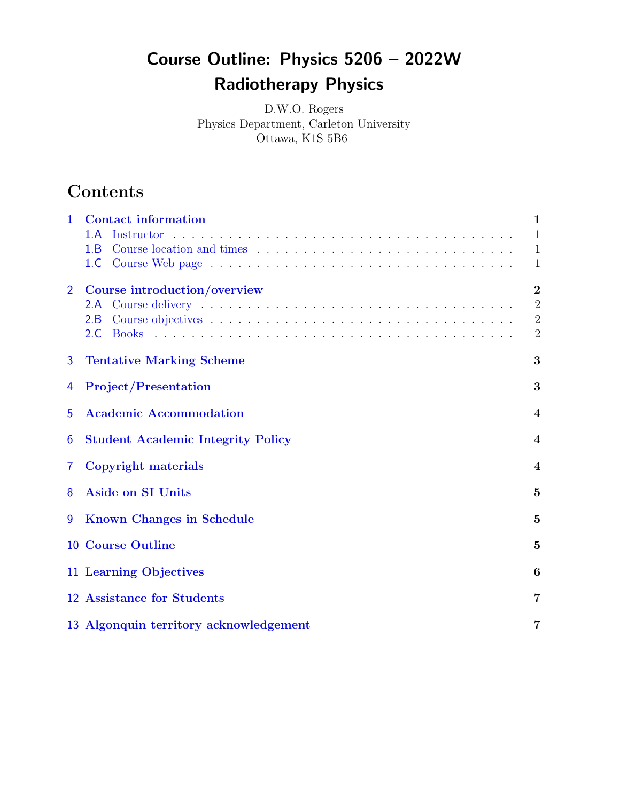# Course Outline: Physics 5206 – 2022W Radiotherapy Physics

D.W.O. Rogers Physics Department, Carleton University Ottawa, K1S 5B6

# Contents

| 1              | <b>Contact information</b><br>1.A<br>Instructor<br>1.B<br>1.C. | 1<br>$\mathbf{1}$<br>$\mathbf{1}$<br>1                               |  |  |
|----------------|----------------------------------------------------------------|----------------------------------------------------------------------|--|--|
| $\overline{2}$ | Course introduction/overview<br>2.A<br>2.B<br>2.C              | $\overline{2}$<br>$\overline{2}$<br>$\overline{2}$<br>$\overline{2}$ |  |  |
| 3              | <b>Tentative Marking Scheme</b><br>3                           |                                                                      |  |  |
| 4              | <b>Project/Presentation</b><br>3                               |                                                                      |  |  |
| 5              | <b>Academic Accommodation</b>                                  |                                                                      |  |  |
| 6              | <b>Student Academic Integrity Policy</b>                       |                                                                      |  |  |
| 7              | <b>Copyright materials</b><br>$\bf{4}$                         |                                                                      |  |  |
| 8              | <b>Aside on SI Units</b><br>5                                  |                                                                      |  |  |
| 9              | <b>Known Changes in Schedule</b>                               |                                                                      |  |  |
|                | <b>10 Course Outline</b>                                       | $\mathbf{5}$                                                         |  |  |
|                | 11 Learning Objectives                                         | $\boldsymbol{6}$                                                     |  |  |
|                | 12 Assistance for Students                                     | 7                                                                    |  |  |
|                | 13 Algonquin territory acknowledgement                         | 7                                                                    |  |  |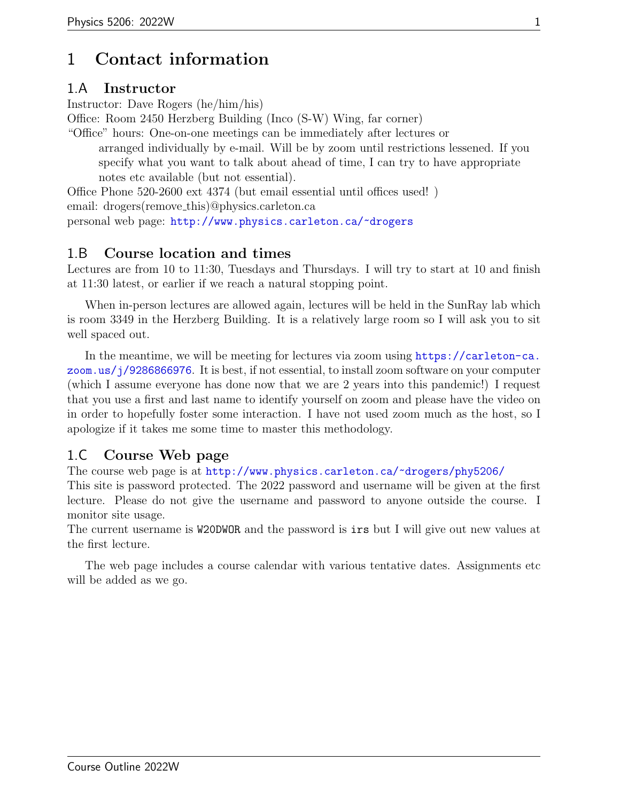# <span id="page-1-0"></span>1 Contact information

#### <span id="page-1-1"></span>1.A Instructor

Instructor: Dave Rogers (he/him/his)

Office: Room 2450 Herzberg Building (Inco (S-W) Wing, far corner)

"Office" hours: One-on-one meetings can be immediately after lectures or arranged individually by e-mail. Will be by zoom until restrictions lessened. If you specify what you want to talk about ahead of time, I can try to have appropriate notes etc available (but not essential).

Office Phone 520-2600 ext 4374 (but email essential until offices used! ) email: drogers(remove\_this)@physics.carleton.ca personal web page: <http://www.physics.carleton.ca/~drogers>

#### <span id="page-1-2"></span>1.B Course location and times

Lectures are from 10 to 11:30, Tuesdays and Thursdays. I will try to start at 10 and finish at 11:30 latest, or earlier if we reach a natural stopping point.

When in-person lectures are allowed again, lectures will be held in the SunRay lab which is room 3349 in the Herzberg Building. It is a relatively large room so I will ask you to sit well spaced out.

In the meantime, we will be meeting for lectures via zoom using [https://carleton-ca.](https://carleton-ca.zoom.us/j/9286866976) [zoom.us/j/9286866976](https://carleton-ca.zoom.us/j/9286866976). It is best, if not essential, to install zoom software on your computer (which I assume everyone has done now that we are 2 years into this pandemic!) I request that you use a first and last name to identify yourself on zoom and please have the video on in order to hopefully foster some interaction. I have not used zoom much as the host, so I apologize if it takes me some time to master this methodology.

### <span id="page-1-3"></span>1.C Course Web page

The course web page is at <http://www.physics.carleton.ca/~drogers/phy5206/>

This site is password protected. The 2022 password and username will be given at the first lecture. Please do not give the username and password to anyone outside the course. I monitor site usage.

The current username is W20DWOR and the password is irs but I will give out new values at the first lecture.

The web page includes a course calendar with various tentative dates. Assignments etc will be added as we go.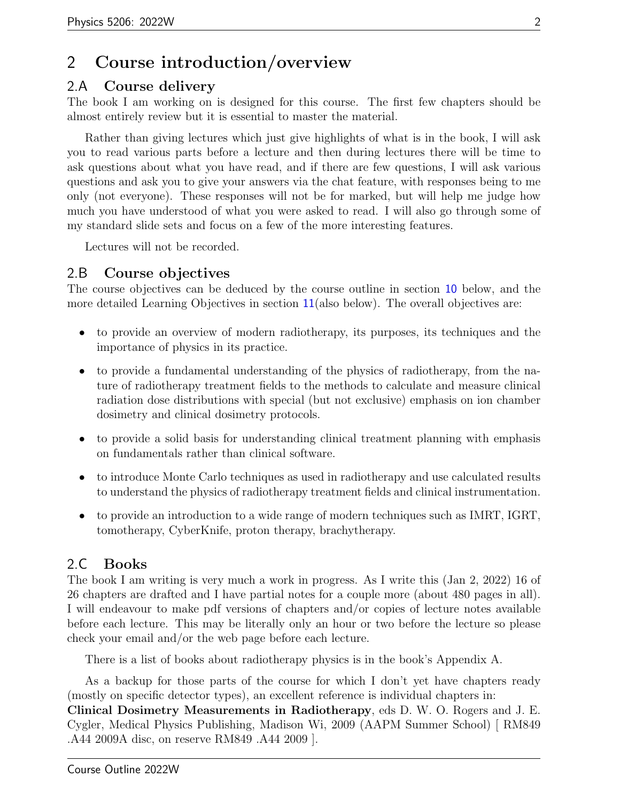### <span id="page-2-0"></span>2 Course introduction/overview

#### <span id="page-2-1"></span>2.A Course delivery

The book I am working on is designed for this course. The first few chapters should be almost entirely review but it is essential to master the material.

Rather than giving lectures which just give highlights of what is in the book, I will ask you to read various parts before a lecture and then during lectures there will be time to ask questions about what you have read, and if there are few questions, I will ask various questions and ask you to give your answers via the chat feature, with responses being to me only (not everyone). These responses will not be for marked, but will help me judge how much you have understood of what you were asked to read. I will also go through some of my standard slide sets and focus on a few of the more interesting features.

Lectures will not be recorded.

#### <span id="page-2-2"></span>2.B Course objectives

The course objectives can be deduced by the course outline in section [10](#page-5-2) below, and the more detailed Learning Objectives in section [11](#page-6-0)(also below). The overall objectives are:

- to provide an overview of modern radiotherapy, its purposes, its techniques and the importance of physics in its practice.
- to provide a fundamental understanding of the physics of radiotherapy, from the nature of radiotherapy treatment fields to the methods to calculate and measure clinical radiation dose distributions with special (but not exclusive) emphasis on ion chamber dosimetry and clinical dosimetry protocols.
- to provide a solid basis for understanding clinical treatment planning with emphasis on fundamentals rather than clinical software.
- to introduce Monte Carlo techniques as used in radiotherapy and use calculated results to understand the physics of radiotherapy treatment fields and clinical instrumentation.
- to provide an introduction to a wide range of modern techniques such as IMRT, IGRT, tomotherapy, CyberKnife, proton therapy, brachytherapy.

#### <span id="page-2-3"></span>2.C Books

The book I am writing is very much a work in progress. As I write this (Jan 2, 2022) 16 of 26 chapters are drafted and I have partial notes for a couple more (about 480 pages in all). I will endeavour to make pdf versions of chapters and/or copies of lecture notes available before each lecture. This may be literally only an hour or two before the lecture so please check your email and/or the web page before each lecture.

There is a list of books about radiotherapy physics is in the book's Appendix A.

As a backup for those parts of the course for which I don't yet have chapters ready (mostly on specific detector types), an excellent reference is individual chapters in:

Clinical Dosimetry Measurements in Radiotherapy, eds D. W. O. Rogers and J. E. Cygler, Medical Physics Publishing, Madison Wi, 2009 (AAPM Summer School) [ RM849 .A44 2009A disc, on reserve RM849 .A44 2009 ].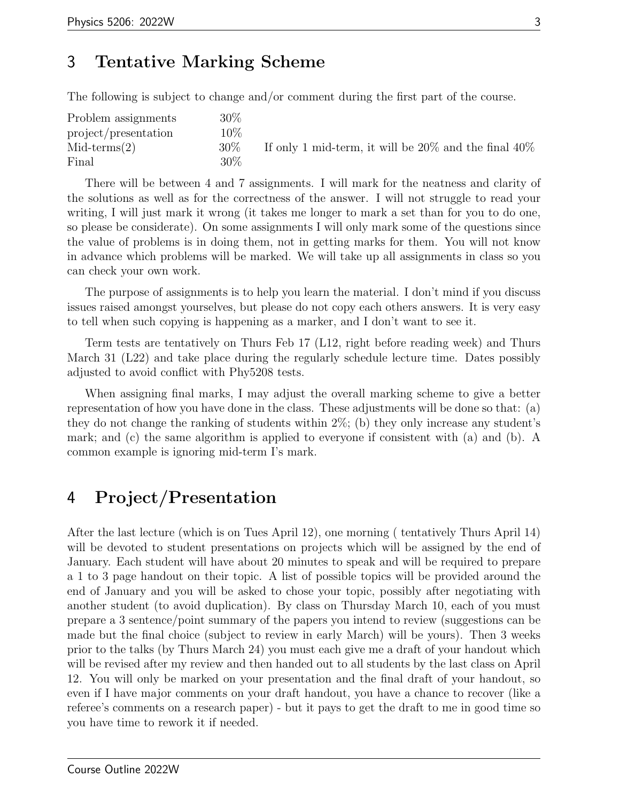# <span id="page-3-0"></span>3 Tentative Marking Scheme

The following is subject to change and/or comment during the first part of the course.

| Problem assignments  | 30%    |                                                            |
|----------------------|--------|------------------------------------------------------------|
| project/presentation | $10\%$ |                                                            |
| $Mid-terms(2)$       | $30\%$ | If only 1 mid-term, it will be $20\%$ and the final $40\%$ |
| Final                | 30\%   |                                                            |

There will be between 4 and 7 assignments. I will mark for the neatness and clarity of the solutions as well as for the correctness of the answer. I will not struggle to read your writing, I will just mark it wrong (it takes me longer to mark a set than for you to do one, so please be considerate). On some assignments I will only mark some of the questions since the value of problems is in doing them, not in getting marks for them. You will not know in advance which problems will be marked. We will take up all assignments in class so you can check your own work.

The purpose of assignments is to help you learn the material. I don't mind if you discuss issues raised amongst yourselves, but please do not copy each others answers. It is very easy to tell when such copying is happening as a marker, and I don't want to see it.

Term tests are tentatively on Thurs Feb 17 (L12, right before reading week) and Thurs March 31 (L22) and take place during the regularly schedule lecture time. Dates possibly adjusted to avoid conflict with Phy5208 tests.

When assigning final marks, I may adjust the overall marking scheme to give a better representation of how you have done in the class. These adjustments will be done so that: (a) they do not change the ranking of students within  $2\%$ ; (b) they only increase any student's mark; and (c) the same algorithm is applied to everyone if consistent with (a) and (b). A common example is ignoring mid-term I's mark.

# <span id="page-3-1"></span>4 Project/Presentation

After the last lecture (which is on Tues April 12), one morning ( tentatively Thurs April 14) will be devoted to student presentations on projects which will be assigned by the end of January. Each student will have about 20 minutes to speak and will be required to prepare a 1 to 3 page handout on their topic. A list of possible topics will be provided around the end of January and you will be asked to chose your topic, possibly after negotiating with another student (to avoid duplication). By class on Thursday March 10, each of you must prepare a 3 sentence/point summary of the papers you intend to review (suggestions can be made but the final choice (subject to review in early March) will be yours). Then 3 weeks prior to the talks (by Thurs March 24) you must each give me a draft of your handout which will be revised after my review and then handed out to all students by the last class on April 12. You will only be marked on your presentation and the final draft of your handout, so even if I have major comments on your draft handout, you have a chance to recover (like a referee's comments on a research paper) - but it pays to get the draft to me in good time so you have time to rework it if needed.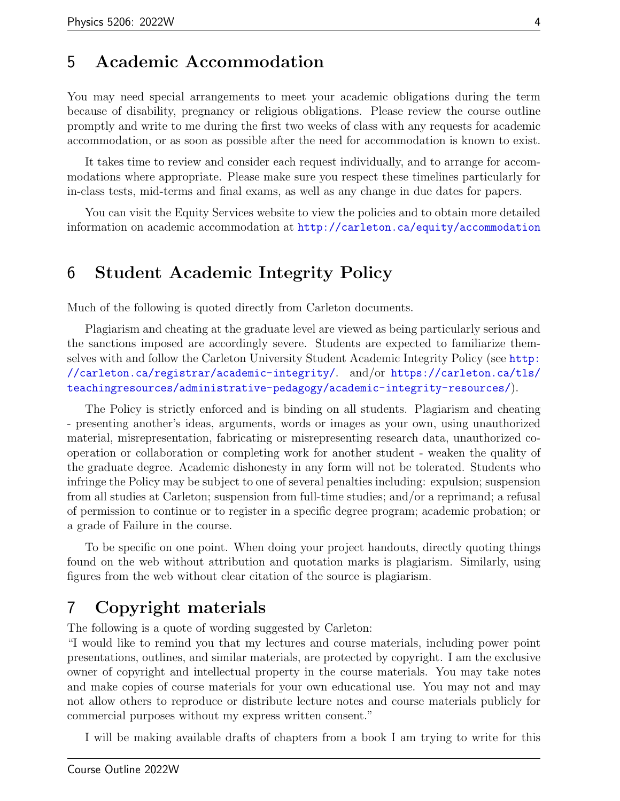### <span id="page-4-0"></span>5 Academic Accommodation

You may need special arrangements to meet your academic obligations during the term because of disability, pregnancy or religious obligations. Please review the course outline promptly and write to me during the first two weeks of class with any requests for academic accommodation, or as soon as possible after the need for accommodation is known to exist.

It takes time to review and consider each request individually, and to arrange for accommodations where appropriate. Please make sure you respect these timelines particularly for in-class tests, mid-terms and final exams, as well as any change in due dates for papers.

You can visit the Equity Services website to view the policies and to obtain more detailed information on academic accommodation at <http://carleton.ca/equity/accommodation>

#### <span id="page-4-1"></span>6 Student Academic Integrity Policy

Much of the following is quoted directly from Carleton documents.

Plagiarism and cheating at the graduate level are viewed as being particularly serious and the sanctions imposed are accordingly severe. Students are expected to familiarize themselves with and follow the Carleton University Student Academic Integrity Policy (see [http:](http://carleton.ca/registrar/academic-integrity/) [//carleton.ca/registrar/academic-integrity/](http://carleton.ca/registrar/academic-integrity/). and/or [https://carleton.ca/tls/](https://carleton.ca/tls/teachingresources/administrative-pedagogy/academic-integrity-resources/) [teachingresources/administrative-pedagogy/academic-integrity-resources/](https://carleton.ca/tls/teachingresources/administrative-pedagogy/academic-integrity-resources/)).

The Policy is strictly enforced and is binding on all students. Plagiarism and cheating - presenting another's ideas, arguments, words or images as your own, using unauthorized material, misrepresentation, fabricating or misrepresenting research data, unauthorized cooperation or collaboration or completing work for another student - weaken the quality of the graduate degree. Academic dishonesty in any form will not be tolerated. Students who infringe the Policy may be subject to one of several penalties including: expulsion; suspension from all studies at Carleton; suspension from full-time studies; and/or a reprimand; a refusal of permission to continue or to register in a specific degree program; academic probation; or a grade of Failure in the course.

To be specific on one point. When doing your project handouts, directly quoting things found on the web without attribution and quotation marks is plagiarism. Similarly, using figures from the web without clear citation of the source is plagiarism.

### <span id="page-4-2"></span>7 Copyright materials

The following is a quote of wording suggested by Carleton:

"I would like to remind you that my lectures and course materials, including power point presentations, outlines, and similar materials, are protected by copyright. I am the exclusive owner of copyright and intellectual property in the course materials. You may take notes and make copies of course materials for your own educational use. You may not and may not allow others to reproduce or distribute lecture notes and course materials publicly for commercial purposes without my express written consent."

I will be making available drafts of chapters from a book I am trying to write for this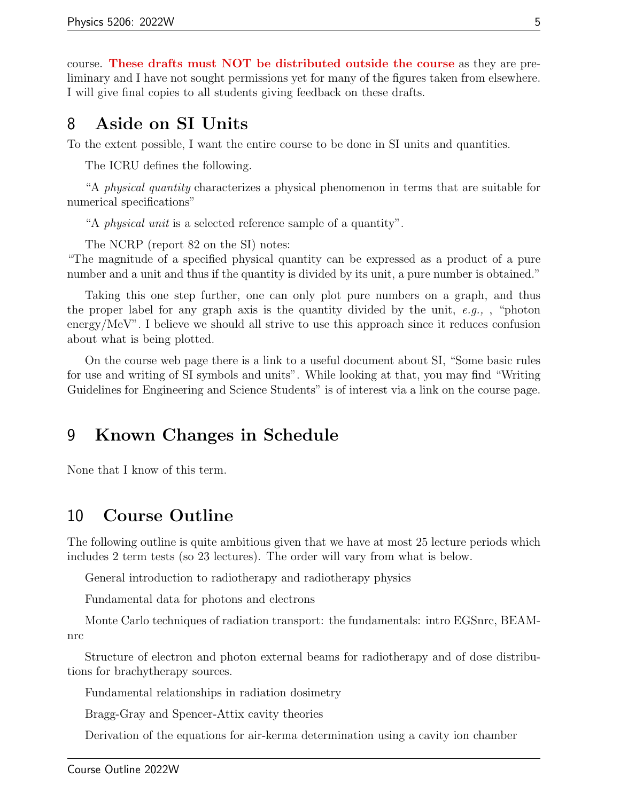course. These drafts must NOT be distributed outside the course as they are preliminary and I have not sought permissions yet for many of the figures taken from elsewhere. I will give final copies to all students giving feedback on these drafts.

### <span id="page-5-0"></span>8 Aside on SI Units

To the extent possible, I want the entire course to be done in SI units and quantities.

The ICRU defines the following.

"A physical quantity characterizes a physical phenomenon in terms that are suitable for numerical specifications"

"A physical unit is a selected reference sample of a quantity".

The NCRP (report 82 on the SI) notes:

"The magnitude of a specified physical quantity can be expressed as a product of a pure number and a unit and thus if the quantity is divided by its unit, a pure number is obtained."

Taking this one step further, one can only plot pure numbers on a graph, and thus the proper label for any graph axis is the quantity divided by the unit,  $e.g.,$ , "photon" energy/MeV". I believe we should all strive to use this approach since it reduces confusion about what is being plotted.

On the course web page there is a link to a useful document about SI, "Some basic rules for use and writing of SI symbols and units". While looking at that, you may find "Writing Guidelines for Engineering and Science Students" is of interest via a link on the course page.

### <span id="page-5-1"></span>9 Known Changes in Schedule

None that I know of this term.

### <span id="page-5-2"></span>10 Course Outline

The following outline is quite ambitious given that we have at most 25 lecture periods which includes 2 term tests (so 23 lectures). The order will vary from what is below.

General introduction to radiotherapy and radiotherapy physics

Fundamental data for photons and electrons

Monte Carlo techniques of radiation transport: the fundamentals: intro EGSnrc, BEAMnrc

Structure of electron and photon external beams for radiotherapy and of dose distributions for brachytherapy sources.

Fundamental relationships in radiation dosimetry

Bragg-Gray and Spencer-Attix cavity theories

Derivation of the equations for air-kerma determination using a cavity ion chamber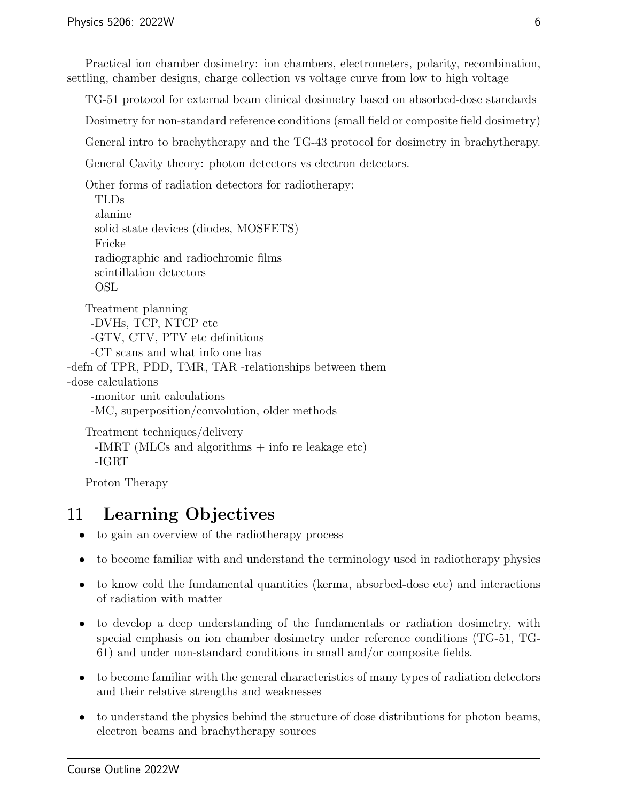Practical ion chamber dosimetry: ion chambers, electrometers, polarity, recombination, settling, chamber designs, charge collection vs voltage curve from low to high voltage

TG-51 protocol for external beam clinical dosimetry based on absorbed-dose standards

Dosimetry for non-standard reference conditions (small field or composite field dosimetry)

General intro to brachytherapy and the TG-43 protocol for dosimetry in brachytherapy.

General Cavity theory: photon detectors vs electron detectors.

Other forms of radiation detectors for radiotherapy:

```
TLDs
alanine
solid state devices (diodes, MOSFETS)
Fricke
radiographic and radiochromic films
scintillation detectors
OSL
```
Treatment planning -DVHs, TCP, NTCP etc -GTV, CTV, PTV etc definitions -CT scans and what info one has -defn of TPR, PDD, TMR, TAR -relationships between them -dose calculations

-monitor unit calculations -MC, superposition/convolution, older methods

```
Treatment techniques/delivery
 -IMRT (MLCs and algorithms + info re leakage etc)
 -IGRT
```
Proton Therapy

# <span id="page-6-0"></span>11 Learning Objectives

- to gain an overview of the radiotherapy process
- to become familiar with and understand the terminology used in radiotherapy physics
- to know cold the fundamental quantities (kerma, absorbed-dose etc) and interactions of radiation with matter
- to develop a deep understanding of the fundamentals or radiation dosimetry, with special emphasis on ion chamber dosimetry under reference conditions (TG-51, TG-61) and under non-standard conditions in small and/or composite fields.
- to become familiar with the general characteristics of many types of radiation detectors and their relative strengths and weaknesses
- to understand the physics behind the structure of dose distributions for photon beams, electron beams and brachytherapy sources